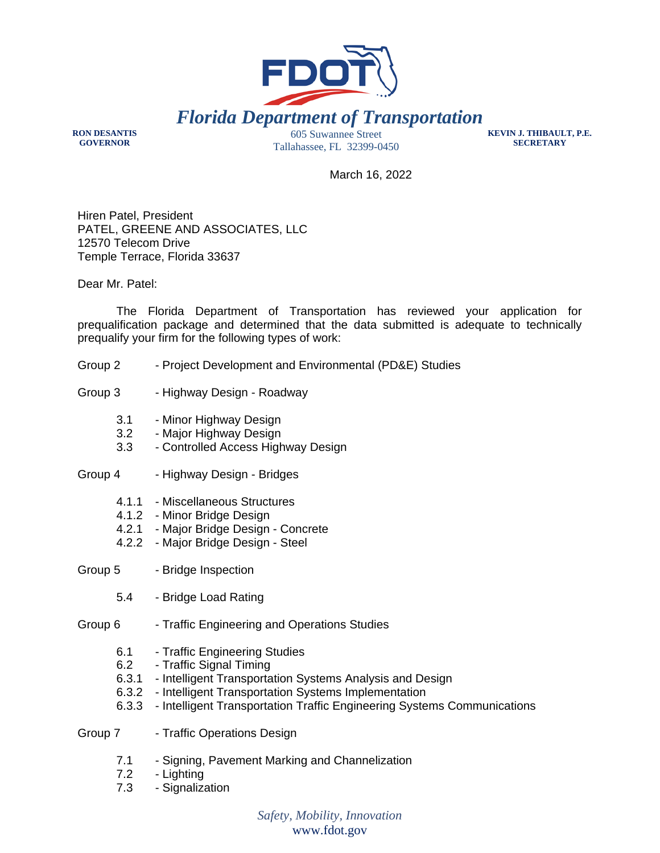

**RON DESANTIS GOVERNOR**

605 Suwannee Street Tallahassee, FL 32399-0450 **KEVIN J. THIBAULT, P.E. SECRETARY**

March 16, 2022

Hiren Patel, President PATEL, GREENE AND ASSOCIATES, LLC 12570 Telecom Drive Temple Terrace, Florida 33637

Dear Mr. Patel:

The Florida Department of Transportation has reviewed your application for prequalification package and determined that the data submitted is adequate to technically prequalify your firm for the following types of work:

- Group 2 Project Development and Environmental (PD&E) Studies
- Group 3 Highway Design Roadway
	- 3.1 Minor Highway Design
	- 3.2 Major Highway Design
	- 3.3 Controlled Access Highway Design
- Group 4 Highway Design Bridges
	- 4.1.1 Miscellaneous Structures
	- 4.1.2 Minor Bridge Design
	- 4.2.1 Major Bridge Design Concrete
	- 4.2.2 Major Bridge Design Steel

Group 5 - Bridge Inspection

- 5.4 Bridge Load Rating
- Group 6 Traffic Engineering and Operations Studies
	- 6.1 Traffic Engineering Studies
	- 6.2 Traffic Signal Timing
	- 6.3.1 Intelligent Transportation Systems Analysis and Design
	- 6.3.2 Intelligent Transportation Systems Implementation
	- 6.3.3 Intelligent Transportation Traffic Engineering Systems Communications
- Group 7 Traffic Operations Design
	- 7.1 Signing, Pavement Marking and Channelization
	- 7.2 Lighting
	- 7.3 Signalization